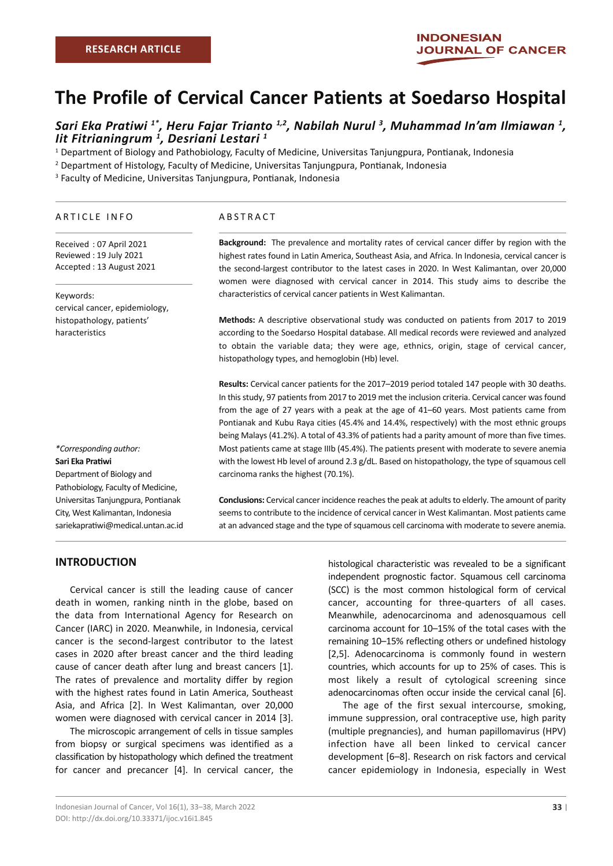# **The Profile of Cervical Cancer Patients at Soedarso Hospital**

## Sari Eka Pratiwi <sup>1\*</sup>, Heru Fajar Trianto <sup>1,2</sup>, Nabilah Nurul <sup>3</sup>, Muhammad In'am Ilmiawan <sup>1</sup>,<br>Iit Fitrianingrum <sup>1</sup>, Desriani Lestari <sup>1</sup> *lit Fitrianingrum*<sup>1</sup>, Desriani Lestari<sup>1</sup>

1 Department of Biology and Pathobiology, Faculty of Medicine, Universitas Tanjungpura, Pontianak, Indonesia

2 Department of Histology, Faculty of Medicine, Universitas Tanjungpura, Pontianak, Indonesia

3 Faculty of Medicine, Universitas Tanjungpura, Pontianak, Indonesia

#### ARTICLE INFO

Received : 07 April 2021 Reviewed : 19 July 2021 Accepted : 13 August 2021

#### Keywords:

cervical cancer, epidemiology, histopathology, patients' haracteristics

#### ABSTRACT

**Background:** The prevalence and mortality rates of cervical cancer differ by region with the highest rates found in Latin America, Southeast Asia, and Africa. In Indonesia, cervical cancer is the second-largest contributor to the latest cases in 2020. In West Kalimantan, over 20,000 women were diagnosed with cervical cancer in 2014. This study aims to describe the characteristics of cervical cancer patients in West Kalimantan.

**Methods:** A descriptive observational study was conducted on patients from 2017 to 2019 according to the Soedarso Hospital database. All medical records were reviewed and analyzed to obtain the variable data; they were age, ethnics, origin, stage of cervical cancer, histopathology types, and hemoglobin (Hb) level.

**Results:** Cervical cancer patients for the 2017–2019 period totaled 147 people with 30 deaths. In this study, 97 patients from 2017 to 2019 met the inclusion criteria. Cervical cancer was found from the age of 27 years with a peak at the age of 41–60 years. Most patients came from Pontianak and Kubu Raya cities (45.4% and 14.4%, respectively) with the most ethnic groups being Malays (41.2%). A total of 43.3% of patients had a parity amount of more than five times. Most patients came at stage IIIb (45.4%). The patients present with moderate to severe anemia with the lowest Hb level of around 2.3 g/dL. Based on histopathology, the type of squamous cell carcinoma ranks the highest (70.1%).

**Conclusions:** Cervical cancer incidence reaches the peak at adults to elderly. The amount of parity seems to contribute to the incidence of cervical cancer in West Kalimantan. Most patients came at an advanced stage and the type of squamous cell carcinoma with moderate to severe anemia.

#### **INTRODUCTION**

*\*Corresponding author:* **Sari Eka Pratiwi**

Department of Biology and Pathobiology, Faculty of Medicine, Universitas Tanjungpura, Pontianak City, West Kalimantan, Indonesia sariekapratiwi@medical.untan.ac.id

Cervical cancer is still the leading cause of cancer death in women, ranking ninth in the globe, based on the data from International Agency for Research on Cancer (IARC) in 2020. Meanwhile, in Indonesia, cervical cancer is the second-largest contributor to the latest cases in 2020 after breast cancer and the third leading cause of cancer death after lung and breast cancers [1]. The rates of prevalence and mortality differ by region with the highest rates found in Latin America, Southeast Asia, and Africa [2]. In West Kalimantan, over 20,000 women were diagnosed with cervical cancer in 2014 [3].

The microscopic arrangement of cells in tissue samples from biopsy or surgical specimens was identified as a classification by histopathology which defined the treatment for cancer and precancer [4]. In cervical cancer, the

histological characteristic was revealed to be a significant independent prognostic factor. Squamous cell carcinoma (SCC) is the most common histological form of cervical cancer, accounting for three-quarters of all cases. Meanwhile, adenocarcinoma and adenosquamous cell carcinoma account for 10–15% of the total cases with the remaining 10–15% reflecting others or undefined histology [2,5]. Adenocarcinoma is commonly found in western countries, which accounts for up to 25% of cases. This is most likely a result of cytological screening since adenocarcinomas often occur inside the cervical canal [6].

The age of the first sexual intercourse, smoking, immune suppression, oral contraceptive use, high parity (multiple pregnancies), and human papillomavirus (HPV) infection have all been linked to cervical cancer development [6–8]. Research on risk factors and cervical cancer epidemiology in Indonesia, especially in West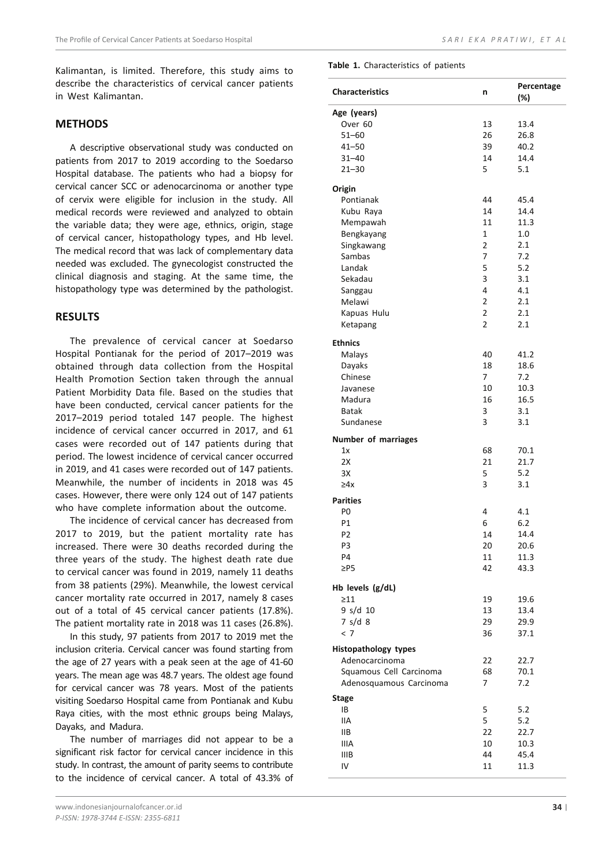Kalimantan, is limited. Therefore, this study aims to describe the characteristics of cervical cancer patients in West Kalimantan.

### **METHODS**

A descriptive observational study was conducted on patients from 2017 to 2019 according to the Soedarso Hospital database. The patients who had a biopsy for cervical cancer SCC or adenocarcinoma or another type of cervix were eligible for inclusion in the study. All medical records were reviewed and analyzed to obtain the variable data; they were age, ethnics, origin, stage of cervical cancer, histopathology types, and Hb level. The medical record that was lack of complementary data needed was excluded. The gynecologist constructed the clinical diagnosis and staging. At the same time, the histopathology type was determined by the pathologist.

#### **RESULTS**

The prevalence of cervical cancer at Soedarso Hospital Pontianak for the period of 2017–2019 was obtained through data collection from the Hospital Health Promotion Section taken through the annual Patient Morbidity Data file. Based on the studies that have been conducted, cervical cancer patients for the 2017–2019 period totaled 147 people. The highest incidence of cervical cancer occurred in 2017, and 61 cases were recorded out of 147 patients during that period. The lowest incidence of cervical cancer occurred in 2019, and 41 cases were recorded out of 147 patients. Meanwhile, the number of incidents in 2018 was 45 cases. However, there were only 124 out of 147 patients who have complete information about the outcome.

The incidence of cervical cancer has decreased from 2017 to 2019, but the patient mortality rate has increased. There were 30 deaths recorded during the three years of the study. The highest death rate due to cervical cancer was found in 2019, namely 11 deaths from 38 patients (29%). Meanwhile, the lowest cervical cancer mortality rate occurred in 2017, namely 8 cases out of a total of 45 cervical cancer patients (17.8%). The patient mortality rate in 2018 was 11 cases (26.8%).

In this study, 97 patients from 2017 to 2019 met the inclusion criteria. Cervical cancer was found starting from the age of 27 years with a peak seen at the age of 41-60 years. The mean age was 48.7 years. The oldest age found for cervical cancer was 78 years. Most of the patients visiting Soedarso Hospital came from Pontianak and Kubu Raya cities, with the most ethnic groups being Malays, Dayaks, and Madura.

The number of marriages did not appear to be a significant risk factor for cervical cancer incidence in this study. In contrast, the amount of parity seems to contribute to the incidence of cervical cancer. A total of 43.3% of **Table 1.** Characteristics of patients

| <b>Characteristics</b>        | n              | Percentage<br>(%) |
|-------------------------------|----------------|-------------------|
| Age (years)                   |                |                   |
| Over 60                       | 13             | 13.4              |
| $51 - 60$                     | 26             | 26.8              |
| $41 - 50$                     | 39             | 40.2              |
| $31 - 40$                     | 14             | 14.4              |
| $21 - 30$                     | 5              | 5.1               |
| Origin                        |                |                   |
| Pontianak                     | 44             | 45.4              |
| Kubu Raya                     | 14             | 14.4              |
| Mempawah                      | 11             | 11.3              |
| Bengkayang                    | 1              | 1.0               |
| Singkawang                    | 2              | 2.1               |
| Sambas                        | 7              | 7.2               |
| Landak                        | 5              | 5.2               |
| Sekadau                       | 3              | 3.1               |
| Sanggau                       | 4              | 4.1               |
| Melawi                        | $\overline{2}$ | 2.1               |
| Kapuas Hulu                   | 2              | 2.1               |
| Ketapang                      | 2              | 2.1               |
|                               |                |                   |
| <b>Ethnics</b>                |                |                   |
| Malays                        | 40             | 41.2              |
| Dayaks                        | 18             | 18.6              |
| Chinese                       | $\overline{7}$ | 7.2               |
| Javanese                      | 10             | 10.3              |
| Madura                        | 16             | 16.5              |
| <b>Batak</b>                  | 3              | 3.1               |
| Sundanese                     | 3              | 3.1               |
| Number of marriages           |                |                   |
| 1x                            | 68             | 70.1              |
| 2X                            | 21             | 21.7              |
| 3X                            | 5              | 5.2               |
| $\geq 4x$                     | 3              | 3.1               |
| <b>Parities</b>               |                |                   |
| P0                            | 4              | 4.1               |
| P1                            | 6              | 6.2               |
| P <sub>2</sub>                | 14             | 14.4              |
| P3                            | 20             | 20.6              |
| P4                            | 11             | 11.3              |
| $\geq$ P5                     | 42             | 43.3              |
|                               |                |                   |
| Hb levels (g/dL)<br>$\geq$ 11 |                |                   |
| 9 s/d 10                      | 19<br>13       | 19.6              |
|                               |                | 13.4              |
| 7 s/d 8                       | 29             | 29.9              |
| < 7                           | 36             | 37.1              |
| <b>Histopathology types</b>   |                |                   |
| Adenocarcinoma                | 22             | 22.7              |
| Squamous Cell Carcinoma       | 68             | 70.1              |
| Adenosquamous Carcinoma       | 7              | 7.2               |
| <b>Stage</b>                  |                |                   |
| IB                            | 5              | 5.2               |
| IIА                           |                |                   |
|                               | 5              | 5.2               |
| IIВ                           | 22             | 22.7              |
| IIIA                          | 10             | 10.3              |
| <b>IIIB</b>                   | 44             | 45.4<br>11.3      |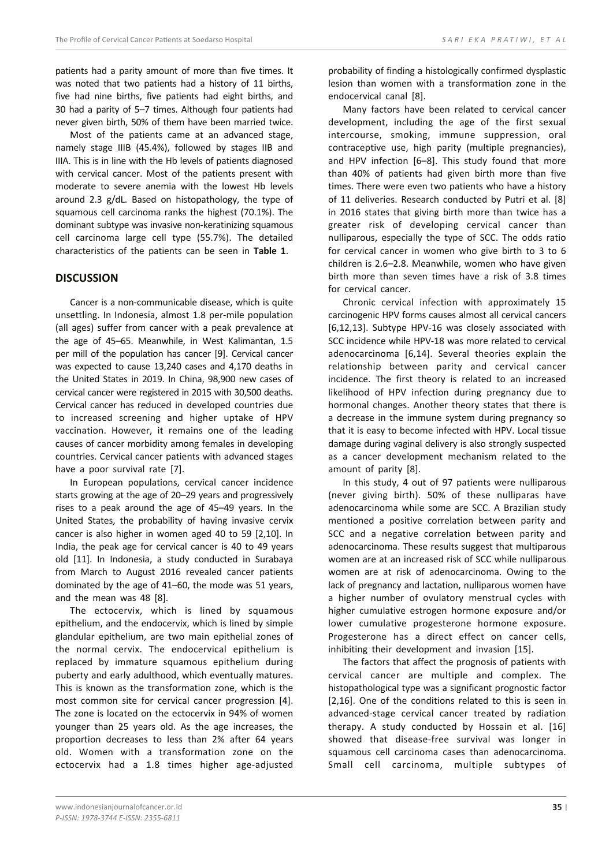patients had a parity amount of more than five times. It was noted that two patients had a history of 11 births, five had nine births, five patients had eight births, and 30 had a parity of 5–7 times. Although four patients had never given birth, 50% of them have been married twice.

Most of the patients came at an advanced stage, namely stage IIIB (45.4%), followed by stages IIB and IIIA. This is in line with the Hb levels of patients diagnosed with cervical cancer. Most of the patients present with moderate to severe anemia with the lowest Hb levels around 2.3 g/dL. Based on histopathology, the type of squamous cell carcinoma ranks the highest (70.1%). The dominant subtype was invasive non-keratinizing squamous cell carcinoma large cell type (55.7%). The detailed characteristics of the patients can be seen in **Table 1**.

#### **DISCUSSION**

Cancer is a non-communicable disease, which is quite unsettling. In Indonesia, almost 1.8 per-mile population (all ages) suffer from cancer with a peak prevalence at the age of 45–65. Meanwhile, in West Kalimantan, 1.5 per mill of the population has cancer [9]. Cervical cancer was expected to cause 13,240 cases and 4,170 deaths in the United States in 2019. In China, 98,900 new cases of cervical cancer were registered in 2015 with 30,500 deaths. Cervical cancer has reduced in developed countries due to increased screening and higher uptake of HPV vaccination. However, it remains one of the leading causes of cancer morbidity among females in developing countries. Cervical cancer patients with advanced stages have a poor survival rate [7].

In European populations, cervical cancer incidence starts growing at the age of 20–29 years and progressively rises to a peak around the age of 45–49 years. In the United States, the probability of having invasive cervix cancer is also higher in women aged 40 to 59 [2,10]. In India, the peak age for cervical cancer is 40 to 49 years old [11]. In Indonesia, a study conducted in Surabaya from March to August 2016 revealed cancer patients dominated by the age of 41–60, the mode was 51 years, and the mean was 48 [8].

The ectocervix, which is lined by squamous epithelium, and the endocervix, which is lined by simple glandular epithelium, are two main epithelial zones of the normal cervix. The endocervical epithelium is replaced by immature squamous epithelium during puberty and early adulthood, which eventually matures. This is known as the transformation zone, which is the most common site for cervical cancer progression [4]. The zone is located on the ectocervix in 94% of women younger than 25 years old. As the age increases, the proportion decreases to less than 2% after 64 years old. Women with a transformation zone on the ectocervix had a 1.8 times higher age-adjusted

probability of finding a histologically confirmed dysplastic lesion than women with a transformation zone in the endocervical canal [8].

Many factors have been related to cervical cancer development, including the age of the first sexual intercourse, smoking, immune suppression, oral contraceptive use, high parity (multiple pregnancies), and HPV infection [6–8]. This study found that more than 40% of patients had given birth more than five times. There were even two patients who have a history of 11 deliveries. Research conducted by Putri et al. [8] in 2016 states that giving birth more than twice has a greater risk of developing cervical cancer than nulliparous, especially the type of SCC. The odds ratio for cervical cancer in women who give birth to 3 to 6 children is 2.6–2.8. Meanwhile, women who have given birth more than seven times have a risk of 3.8 times for cervical cancer.

Chronic cervical infection with approximately 15 carcinogenic HPV forms causes almost all cervical cancers [6,12,13]. Subtype HPV-16 was closely associated with SCC incidence while HPV-18 was more related to cervical adenocarcinoma [6,14]. Several theories explain the relationship between parity and cervical cancer incidence. The first theory is related to an increased likelihood of HPV infection during pregnancy due to hormonal changes. Another theory states that there is a decrease in the immune system during pregnancy so that it is easy to become infected with HPV. Local tissue damage during vaginal delivery is also strongly suspected as a cancer development mechanism related to the amount of parity [8].

In this study, 4 out of 97 patients were nulliparous (never giving birth). 50% of these nulliparas have adenocarcinoma while some are SCC. A Brazilian study mentioned a positive correlation between parity and SCC and a negative correlation between parity and adenocarcinoma. These results suggest that multiparous women are at an increased risk of SCC while nulliparous women are at risk of adenocarcinoma. Owing to the lack of pregnancy and lactation, nulliparous women have a higher number of ovulatory menstrual cycles with higher cumulative estrogen hormone exposure and/or lower cumulative progesterone hormone exposure. Progesterone has a direct effect on cancer cells, inhibiting their development and invasion [15].

The factors that affect the prognosis of patients with cervical cancer are multiple and complex. The histopathological type was a significant prognostic factor [2,16]. One of the conditions related to this is seen in advanced-stage cervical cancer treated by radiation therapy. A study conducted by Hossain et al. [16] showed that disease-free survival was longer in squamous cell carcinoma cases than adenocarcinoma. Small cell carcinoma, multiple subtypes of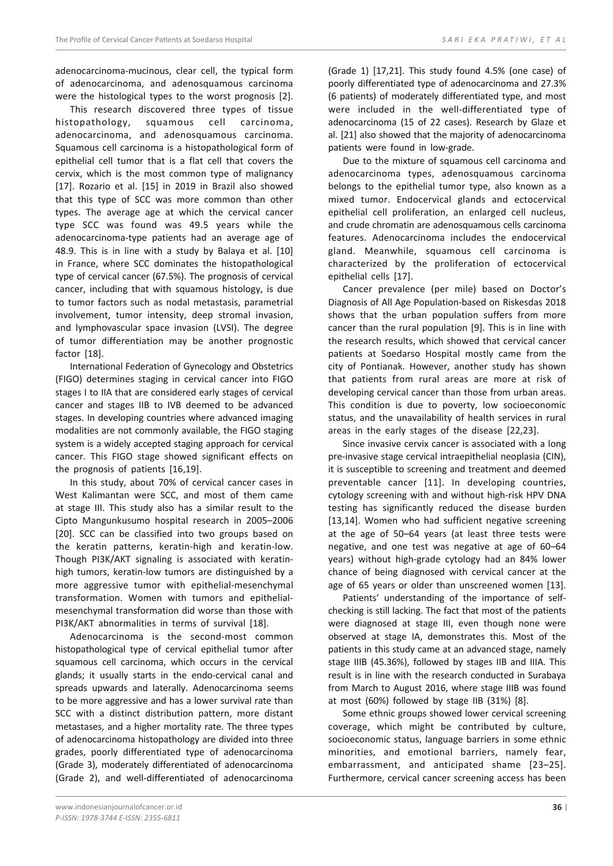adenocarcinoma-mucinous, clear cell, the typical form of adenocarcinoma, and adenosquamous carcinoma were the histological types to the worst prognosis [2].

This research discovered three types of tissue histopathology, squamous cell carcinoma, adenocarcinoma, and adenosquamous carcinoma. Squamous cell carcinoma is a histopathological form of epithelial cell tumor that is a flat cell that covers the cervix, which is the most common type of malignancy [17]. Rozario et al. [15] in 2019 in Brazil also showed that this type of SCC was more common than other types. The average age at which the cervical cancer type SCC was found was 49.5 years while the adenocarcinoma-type patients had an average age of 48.9. This is in line with a study by Balaya et al. [10] in France, where SCC dominates the histopathological type of cervical cancer (67.5%). The prognosis of cervical cancer, including that with squamous histology, is due to tumor factors such as nodal metastasis, parametrial involvement, tumor intensity, deep stromal invasion, and lymphovascular space invasion (LVSI). The degree of tumor differentiation may be another prognostic factor [18].

International Federation of Gynecology and Obstetrics (FIGO) determines staging in cervical cancer into FIGO stages I to IIA that are considered early stages of cervical cancer and stages IIB to IVB deemed to be advanced stages. In developing countries where advanced imaging modalities are not commonly available, the FIGO staging system is a widely accepted staging approach for cervical cancer. This FIGO stage showed significant effects on the prognosis of patients [16,19].

In this study, about 70% of cervical cancer cases in West Kalimantan were SCC, and most of them came at stage III. This study also has a similar result to the Cipto Mangunkusumo hospital research in 2005–2006 [20]. SCC can be classified into two groups based on the keratin patterns, keratin-high and keratin-low. Though PI3K/AKT signaling is associated with keratinhigh tumors, keratin-low tumors are distinguished by a more aggressive tumor with epithelial-mesenchymal transformation. Women with tumors and epithelialmesenchymal transformation did worse than those with PI3K/AKT abnormalities in terms of survival [18].

Adenocarcinoma is the second-most common histopathological type of cervical epithelial tumor after squamous cell carcinoma, which occurs in the cervical glands; it usually starts in the endo-cervical canal and spreads upwards and laterally. Adenocarcinoma seems to be more aggressive and has a lower survival rate than SCC with a distinct distribution pattern, more distant metastases, and a higher mortality rate. The three types of adenocarcinoma histopathology are divided into three grades, poorly differentiated type of adenocarcinoma (Grade 3), moderately differentiated of adenocarcinoma (Grade 2), and well-differentiated of adenocarcinoma

(Grade 1) [17,21]. This study found 4.5% (one case) of poorly differentiated type of adenocarcinoma and 27.3% (6 patients) of moderately differentiated type, and most were included in the well-differentiated type of adenocarcinoma (15 of 22 cases). Research by Glaze et al. [21] also showed that the majority of adenocarcinoma patients were found in low-grade.

Due to the mixture of squamous cell carcinoma and adenocarcinoma types, adenosquamous carcinoma belongs to the epithelial tumor type, also known as a mixed tumor. Endocervical glands and ectocervical epithelial cell proliferation, an enlarged cell nucleus, and crude chromatin are adenosquamous cells carcinoma features. Adenocarcinoma includes the endocervical gland. Meanwhile, squamous cell carcinoma is characterized by the proliferation of ectocervical epithelial cells [17].

Cancer prevalence (per mile) based on Doctor's Diagnosis of All Age Population-based on Riskesdas 2018 shows that the urban population suffers from more cancer than the rural population [9]. This is in line with the research results, which showed that cervical cancer patients at Soedarso Hospital mostly came from the city of Pontianak. However, another study has shown that patients from rural areas are more at risk of developing cervical cancer than those from urban areas. This condition is due to poverty, low socioeconomic status, and the unavailability of health services in rural areas in the early stages of the disease [22,23].

Since invasive cervix cancer is associated with a long pre-invasive stage cervical intraepithelial neoplasia (CIN), it is susceptible to screening and treatment and deemed preventable cancer [11]. In developing countries, cytology screening with and without high-risk HPV DNA testing has significantly reduced the disease burden [13,14]. Women who had sufficient negative screening at the age of 50–64 years (at least three tests were negative, and one test was negative at age of 60–64 years) without high-grade cytology had an 84% lower chance of being diagnosed with cervical cancer at the age of 65 years or older than unscreened women [13].

Patients' understanding of the importance of selfchecking is still lacking. The fact that most of the patients were diagnosed at stage III, even though none were observed at stage IA, demonstrates this. Most of the patients in this study came at an advanced stage, namely stage IIIB (45.36%), followed by stages IIB and IIIA. This result is in line with the research conducted in Surabaya from March to August 2016, where stage IIIB was found at most (60%) followed by stage IIB (31%) [8].

Some ethnic groups showed lower cervical screening coverage, which might be contributed by culture, socioeconomic status, language barriers in some ethnic minorities, and emotional barriers, namely fear, embarrassment, and anticipated shame [23–25]. Furthermore, cervical cancer screening access has been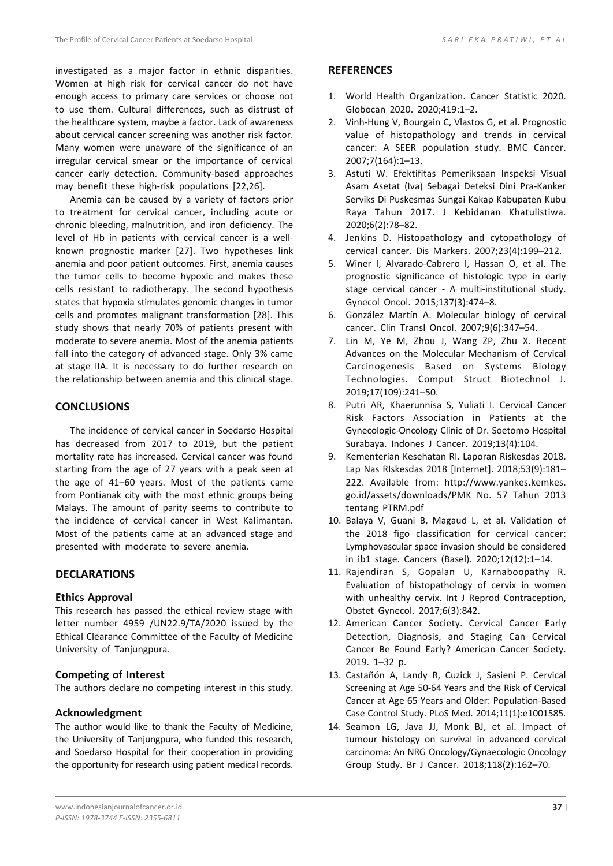investigated as a major factor in ethnic disparities. Women at high risk for cervical cancer do not have enough access to primary care services or choose not to use them. Cultural differences, such as distrust of the healthcare system, maybe a factor. Lack of awareness about cervical cancer screening was another risk factor. Many women were unaware of the significance of an irregular cervical smear or the importance of cervical cancer early detection. Community-based approaches may benefit these high-risk populations [22,26].

Anemia can be caused by a variety of factors prior to treatment for cervical cancer, including acute or chronic bleeding, malnutrition, and iron deficiency. The level of Hb in patients with cervical cancer is a wellknown prognostic marker [27]. Two hypotheses link anemia and poor patient outcomes. First, anemia causes the tumor cells to become hypoxic and makes these cells resistant to radiotherapy. The second hypothesis states that hypoxia stimulates genomic changes in tumor cells and promotes malignant transformation [28]. This study shows that nearly 70% of patients present with moderate to severe anemia. Most of the anemia patients fall into the category of advanced stage. Only 3% came at stage IIA. It is necessary to do further research on the relationship between anemia and this clinical stage.

## **CONCLUSIONS**

The incidence of cervical cancer in Soedarso Hospital has decreased from 2017 to 2019, but the patient mortality rate has increased. Cervical cancer was found starting from the age of 27 years with a peak seen at the age of 41–60 years. Most of the patients came from Pontianak city with the most ethnic groups being Malays. The amount of parity seems to contribute to the incidence of cervical cancer in West Kalimantan. Most of the patients came at an advanced stage and presented with moderate to severe anemia.

## **DECLARATIONS**

## **Ethics Approval**

This research has passed the ethical review stage with letter number 4959 /UN22.9/TA/2020 issued by the Ethical Clearance Committee of the Faculty of Medicine University of Tanjungpura.

## **Competing of Interest**

The authors declare no competing interest in this study.

## **Acknowledgment**

The author would like to thank the Faculty of Medicine, the University of Tanjungpura, who funded this research, and Soedarso Hospital for their cooperation in providing the opportunity for research using patient medical records.

## **REFERENCES**

- 1. World Health Organization. Cancer Statistic 2020. Globocan 2020. 2020;419:1–2.
- 2. Vinh-Hung V, Bourgain C, Vlastos G, et al. Prognostic value of histopathology and trends in cervical cancer: A SEER population study. BMC Cancer. 2007;7(164):1–13.
- 3. Astuti W. Efektifitas Pemeriksaan Inspeksi Visual Asam Asetat (Iva) Sebagai Deteksi Dini Pra-Kanker Serviks Di Puskesmas Sungai Kakap Kabupaten Kubu Raya Tahun 2017. J Kebidanan Khatulistiwa. 2020;6(2):78–82.
- 4. Jenkins D. Histopathology and cytopathology of cervical cancer. Dis Markers. 2007;23(4):199–212.
- 5. Winer I, Alvarado-Cabrero I, Hassan O, et al. The prognostic significance of histologic type in early stage cervical cancer - A multi-institutional study. Gynecol Oncol. 2015;137(3):474–8.
- 6. González Martín A. Molecular biology of cervical cancer. Clin Transl Oncol. 2007;9(6):347–54.
- 7. Lin M, Ye M, Zhou J, Wang ZP, Zhu X. Recent Advances on the Molecular Mechanism of Cervical Carcinogenesis Based on Systems Biology Technologies. Comput Struct Biotechnol J. 2019;17(109):241–50.
- 8. Putri AR, Khaerunnisa S, Yuliati I. Cervical Cancer Risk Factors Association in Patients at the Gynecologic-Oncology Clinic of Dr. Soetomo Hospital Surabaya. Indones J Cancer. 2019;13(4):104.
- 9. Kementerian Kesehatan RI. Laporan Riskesdas 2018. Lap Nas RIskesdas 2018 [Internet]. 2018;53(9):181– 222. Available from: http://www.yankes.kemkes. go.id/assets/downloads/PMK No. 57 Tahun 2013 tentang PTRM.pdf
- 10. Balaya V, Guani B, Magaud L, et al. Validation of the 2018 figo classification for cervical cancer: Lymphovascular space invasion should be considered in ib1 stage. Cancers (Basel). 2020;12(12):1–14.
- 11. Rajendiran S, Gopalan U, Karnaboopathy R. Evaluation of histopathology of cervix in women with unhealthy cervix. Int J Reprod Contraception, Obstet Gynecol. 2017;6(3):842.
- 12. American Cancer Society. Cervical Cancer Early Detection, Diagnosis, and Staging Can Cervical Cancer Be Found Early? American Cancer Society. 2019. 1–32 p.
- 13. Castañón A, Landy R, Cuzick J, Sasieni P. Cervical Screening at Age 50-64 Years and the Risk of Cervical Cancer at Age 65 Years and Older: Population-Based Case Control Study. PLoS Med. 2014;11(1):e1001585.
- 14. Seamon LG, Java JJ, Monk BJ, et al. Impact of tumour histology on survival in advanced cervical carcinoma: An NRG Oncology/Gynaecologic Oncology Group Study. Br J Cancer. 2018;118(2):162–70.